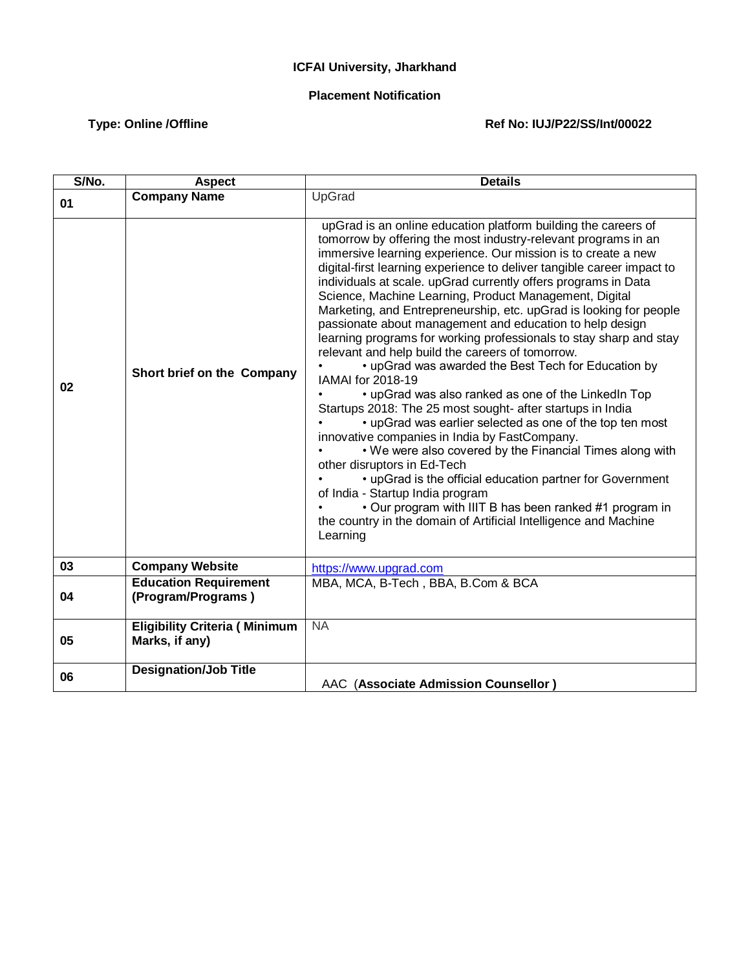## **ICFAI University, Jharkhand**

## **Placement Notification**

## Type: Online /Offline **Matter Ref No: IUJ/P22/SS/Int/00022**

| S/No. | <b>Aspect</b>                                          | <b>Details</b>                                                                                                                                                                                                                                                                                                                                                                                                                                                                                                                                                                                                                                                                                                                                                                                                                                                                                                                                                                                                                                                                                                                                                                                                                                                                                                           |
|-------|--------------------------------------------------------|--------------------------------------------------------------------------------------------------------------------------------------------------------------------------------------------------------------------------------------------------------------------------------------------------------------------------------------------------------------------------------------------------------------------------------------------------------------------------------------------------------------------------------------------------------------------------------------------------------------------------------------------------------------------------------------------------------------------------------------------------------------------------------------------------------------------------------------------------------------------------------------------------------------------------------------------------------------------------------------------------------------------------------------------------------------------------------------------------------------------------------------------------------------------------------------------------------------------------------------------------------------------------------------------------------------------------|
| 01    | <b>Company Name</b>                                    | UpGrad                                                                                                                                                                                                                                                                                                                                                                                                                                                                                                                                                                                                                                                                                                                                                                                                                                                                                                                                                                                                                                                                                                                                                                                                                                                                                                                   |
| 02    | Short brief on the Company                             | upGrad is an online education platform building the careers of<br>tomorrow by offering the most industry-relevant programs in an<br>immersive learning experience. Our mission is to create a new<br>digital-first learning experience to deliver tangible career impact to<br>individuals at scale. upGrad currently offers programs in Data<br>Science, Machine Learning, Product Management, Digital<br>Marketing, and Entrepreneurship, etc. upGrad is looking for people<br>passionate about management and education to help design<br>learning programs for working professionals to stay sharp and stay<br>relevant and help build the careers of tomorrow.<br>• upGrad was awarded the Best Tech for Education by<br>IAMAI for 2018-19<br>• upGrad was also ranked as one of the LinkedIn Top<br>Startups 2018: The 25 most sought- after startups in India<br>• upGrad was earlier selected as one of the top ten most<br>innovative companies in India by FastCompany.<br>. We were also covered by the Financial Times along with<br>other disruptors in Ed-Tech<br>• upGrad is the official education partner for Government<br>of India - Startup India program<br>• Our program with IIIT B has been ranked #1 program in<br>the country in the domain of Artificial Intelligence and Machine<br>Learning |
| 03    | <b>Company Website</b>                                 | https://www.upgrad.com                                                                                                                                                                                                                                                                                                                                                                                                                                                                                                                                                                                                                                                                                                                                                                                                                                                                                                                                                                                                                                                                                                                                                                                                                                                                                                   |
| 04    | <b>Education Requirement</b><br>(Program/Programs)     | MBA, MCA, B-Tech, BBA, B.Com & BCA                                                                                                                                                                                                                                                                                                                                                                                                                                                                                                                                                                                                                                                                                                                                                                                                                                                                                                                                                                                                                                                                                                                                                                                                                                                                                       |
| 05    | <b>Eligibility Criteria (Minimum</b><br>Marks, if any) | <b>NA</b>                                                                                                                                                                                                                                                                                                                                                                                                                                                                                                                                                                                                                                                                                                                                                                                                                                                                                                                                                                                                                                                                                                                                                                                                                                                                                                                |
| 06    | <b>Designation/Job Title</b>                           | AAC (Associate Admission Counsellor)                                                                                                                                                                                                                                                                                                                                                                                                                                                                                                                                                                                                                                                                                                                                                                                                                                                                                                                                                                                                                                                                                                                                                                                                                                                                                     |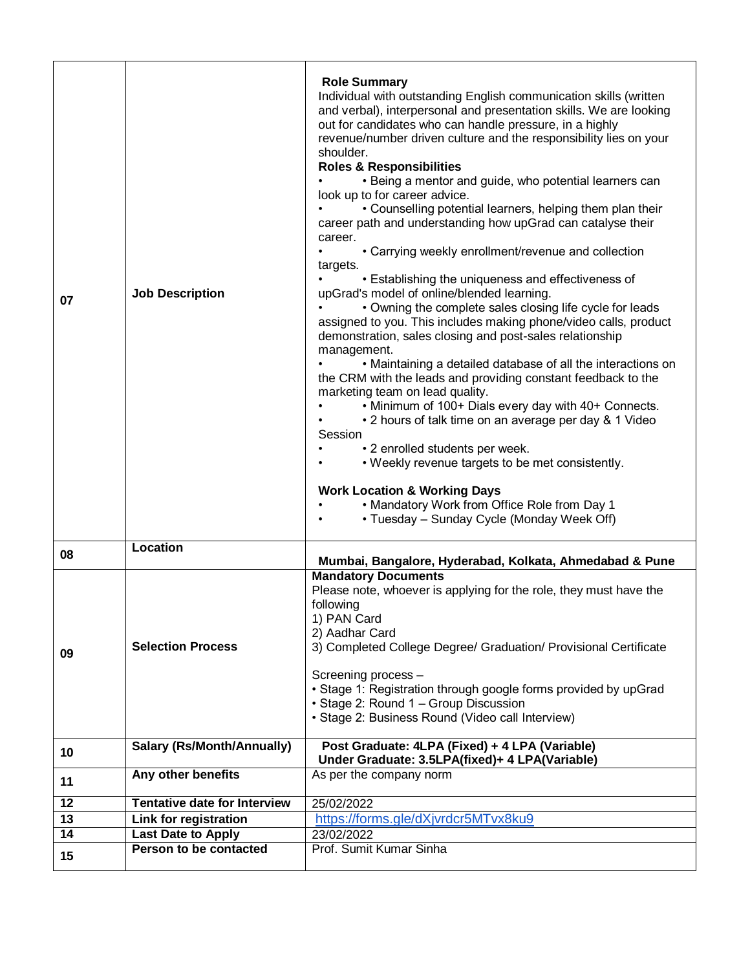| 07 | <b>Job Description</b>              | <b>Role Summary</b><br>Individual with outstanding English communication skills (written<br>and verbal), interpersonal and presentation skills. We are looking<br>out for candidates who can handle pressure, in a highly<br>revenue/number driven culture and the responsibility lies on your<br>shoulder.<br><b>Roles &amp; Responsibilities</b><br>• Being a mentor and guide, who potential learners can<br>look up to for career advice.<br>• Counselling potential learners, helping them plan their<br>career path and understanding how upGrad can catalyse their<br>career.<br>• Carrying weekly enrollment/revenue and collection<br>targets.<br>• Establishing the uniqueness and effectiveness of<br>upGrad's model of online/blended learning.<br>• Owning the complete sales closing life cycle for leads<br>assigned to you. This includes making phone/video calls, product<br>demonstration, sales closing and post-sales relationship<br>management.<br>• Maintaining a detailed database of all the interactions on<br>the CRM with the leads and providing constant feedback to the<br>marketing team on lead quality.<br>• Minimum of 100+ Dials every day with 40+ Connects.<br>• 2 hours of talk time on an average per day & 1 Video<br>Session<br>• 2 enrolled students per week.<br>• Weekly revenue targets to be met consistently.<br><b>Work Location &amp; Working Days</b><br>• Mandatory Work from Office Role from Day 1<br>• Tuesday – Sunday Cycle (Monday Week Off) |
|----|-------------------------------------|---------------------------------------------------------------------------------------------------------------------------------------------------------------------------------------------------------------------------------------------------------------------------------------------------------------------------------------------------------------------------------------------------------------------------------------------------------------------------------------------------------------------------------------------------------------------------------------------------------------------------------------------------------------------------------------------------------------------------------------------------------------------------------------------------------------------------------------------------------------------------------------------------------------------------------------------------------------------------------------------------------------------------------------------------------------------------------------------------------------------------------------------------------------------------------------------------------------------------------------------------------------------------------------------------------------------------------------------------------------------------------------------------------------------------------------------------------------------------------------------------------|
| 08 | Location                            | Mumbai, Bangalore, Hyderabad, Kolkata, Ahmedabad & Pune                                                                                                                                                                                                                                                                                                                                                                                                                                                                                                                                                                                                                                                                                                                                                                                                                                                                                                                                                                                                                                                                                                                                                                                                                                                                                                                                                                                                                                                 |
| 09 | <b>Selection Process</b>            | <b>Mandatory Documents</b><br>Please note, whoever is applying for the role, they must have the<br>following<br>1) PAN Card<br>2) Aadhar Card<br>3) Completed College Degree/ Graduation/ Provisional Certificate<br>Screening process -<br>• Stage 1: Registration through google forms provided by upGrad<br>• Stage 2: Round 1 - Group Discussion<br>• Stage 2: Business Round (Video call Interview)                                                                                                                                                                                                                                                                                                                                                                                                                                                                                                                                                                                                                                                                                                                                                                                                                                                                                                                                                                                                                                                                                                |
| 10 | <b>Salary (Rs/Month/Annually)</b>   | Post Graduate: 4LPA (Fixed) + 4 LPA (Variable)<br>Under Graduate: 3.5LPA(fixed)+ 4 LPA(Variable)                                                                                                                                                                                                                                                                                                                                                                                                                                                                                                                                                                                                                                                                                                                                                                                                                                                                                                                                                                                                                                                                                                                                                                                                                                                                                                                                                                                                        |
| 11 | Any other benefits                  | As per the company norm                                                                                                                                                                                                                                                                                                                                                                                                                                                                                                                                                                                                                                                                                                                                                                                                                                                                                                                                                                                                                                                                                                                                                                                                                                                                                                                                                                                                                                                                                 |
| 12 | <b>Tentative date for Interview</b> | 25/02/2022                                                                                                                                                                                                                                                                                                                                                                                                                                                                                                                                                                                                                                                                                                                                                                                                                                                                                                                                                                                                                                                                                                                                                                                                                                                                                                                                                                                                                                                                                              |
| 13 | Link for registration               | https://forms.gle/dXjvrdcr5MTvx8ku9                                                                                                                                                                                                                                                                                                                                                                                                                                                                                                                                                                                                                                                                                                                                                                                                                                                                                                                                                                                                                                                                                                                                                                                                                                                                                                                                                                                                                                                                     |
| 14 | <b>Last Date to Apply</b>           | 23/02/2022                                                                                                                                                                                                                                                                                                                                                                                                                                                                                                                                                                                                                                                                                                                                                                                                                                                                                                                                                                                                                                                                                                                                                                                                                                                                                                                                                                                                                                                                                              |
| 15 | Person to be contacted              | Prof. Sumit Kumar Sinha                                                                                                                                                                                                                                                                                                                                                                                                                                                                                                                                                                                                                                                                                                                                                                                                                                                                                                                                                                                                                                                                                                                                                                                                                                                                                                                                                                                                                                                                                 |